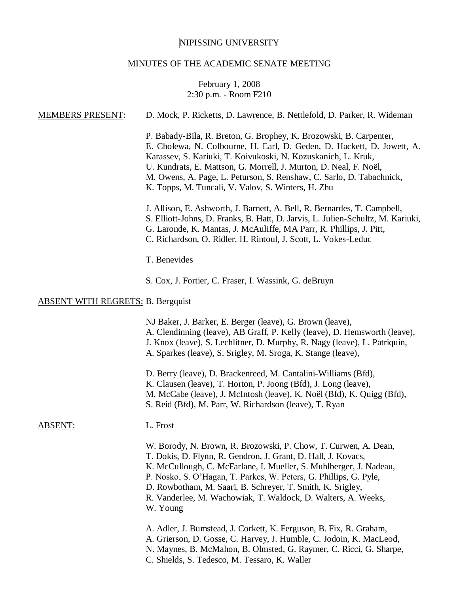# NIPISSING UNIVERSITY

## MINUTES OF THE ACADEMIC SENATE MEETING

## February 1, 2008 2:30 p.m. - Room F210

| <b>MEMBERS PRESENT:</b>                  | D. Mock, P. Ricketts, D. Lawrence, B. Nettlefold, D. Parker, R. Wideman                                                                                                                                                                                                                                                                                                                                                |
|------------------------------------------|------------------------------------------------------------------------------------------------------------------------------------------------------------------------------------------------------------------------------------------------------------------------------------------------------------------------------------------------------------------------------------------------------------------------|
|                                          | P. Babady-Bila, R. Breton, G. Brophey, K. Brozowski, B. Carpenter,<br>E. Cholewa, N. Colbourne, H. Earl, D. Geden, D. Hackett, D. Jowett, A.<br>Karassev, S. Kariuki, T. Koivukoski, N. Kozuskanich, L. Kruk,<br>U. Kundrats, E. Mattson, G. Morrell, J. Murton, D. Neal, F. Noël,<br>M. Owens, A. Page, L. Peturson, S. Renshaw, C. Sarlo, D. Tabachnick,<br>K. Topps, M. Tuncali, V. Valov, S. Winters, H. Zhu       |
|                                          | J. Allison, E. Ashworth, J. Barnett, A. Bell, R. Bernardes, T. Campbell,<br>S. Elliott-Johns, D. Franks, B. Hatt, D. Jarvis, L. Julien-Schultz, M. Kariuki,<br>G. Laronde, K. Mantas, J. McAuliffe, MA Parr, R. Phillips, J. Pitt,<br>C. Richardson, O. Ridler, H. Rintoul, J. Scott, L. Vokes-Leduc                                                                                                                   |
|                                          | T. Benevides                                                                                                                                                                                                                                                                                                                                                                                                           |
|                                          | S. Cox, J. Fortier, C. Fraser, I. Wassink, G. deBruyn                                                                                                                                                                                                                                                                                                                                                                  |
| <b>ABSENT WITH REGRETS: B. Bergquist</b> |                                                                                                                                                                                                                                                                                                                                                                                                                        |
|                                          | NJ Baker, J. Barker, E. Berger (leave), G. Brown (leave),<br>A. Clendinning (leave), AB Graff, P. Kelly (leave), D. Hemsworth (leave),<br>J. Knox (leave), S. Lechlitner, D. Murphy, R. Nagy (leave), L. Patriquin,<br>A. Sparkes (leave), S. Srigley, M. Sroga, K. Stange (leave),                                                                                                                                    |
|                                          | D. Berry (leave), D. Brackenreed, M. Cantalini-Williams (Bfd),<br>K. Clausen (leave), T. Horton, P. Joong (Bfd), J. Long (leave),<br>M. McCabe (leave), J. McIntosh (leave), K. Noël (Bfd), K. Quigg (Bfd),<br>S. Reid (Bfd), M. Parr, W. Richardson (leave), T. Ryan                                                                                                                                                  |
| <b>ABSENT:</b>                           | L. Frost                                                                                                                                                                                                                                                                                                                                                                                                               |
|                                          | W. Borody, N. Brown, R. Brozowski, P. Chow, T. Curwen, A. Dean,<br>T. Dokis, D. Flynn, R. Gendron, J. Grant, D. Hall, J. Kovacs,<br>K. McCullough, C. McFarlane, I. Mueller, S. Muhlberger, J. Nadeau,<br>P. Nosko, S. O'Hagan, T. Parkes, W. Peters, G. Phillips, G. Pyle,<br>D. Rowbotham, M. Saari, B. Schreyer, T. Smith, K. Srigley,<br>R. Vanderlee, M. Wachowiak, T. Waldock, D. Walters, A. Weeks,<br>W. Young |
|                                          | A. Adler, J. Bumstead, J. Corkett, K. Ferguson, B. Fix, R. Graham,<br>A. Grierson, D. Gosse, C. Harvey, J. Humble, C. Jodoin, K. MacLeod,<br>N. Maynes, B. McMahon, B. Olmsted, G. Raymer, C. Ricci, G. Sharpe,                                                                                                                                                                                                        |

C. Shields, S. Tedesco, M. Tessaro, K. Waller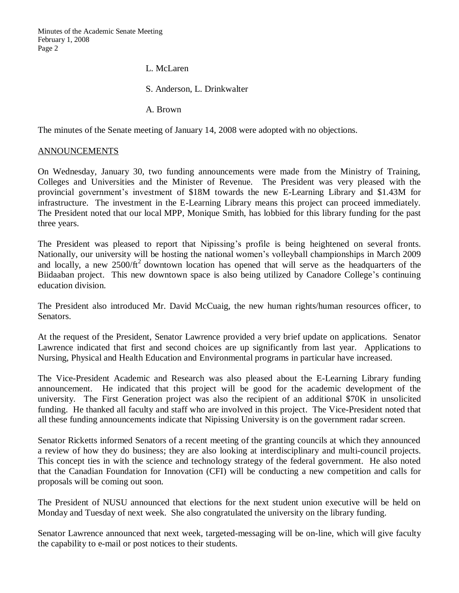Minutes of the Academic Senate Meeting February 1, 2008 Page 2

L. McLaren

S. Anderson, L. Drinkwalter

A. Brown

The minutes of the Senate meeting of January 14, 2008 were adopted with no objections.

#### ANNOUNCEMENTS

On Wednesday, January 30, two funding announcements were made from the Ministry of Training, Colleges and Universities and the Minister of Revenue. The President was very pleased with the provincial government's investment of \$18M towards the new E-Learning Library and \$1.43M for infrastructure. The investment in the E-Learning Library means this project can proceed immediately. The President noted that our local MPP, Monique Smith, has lobbied for this library funding for the past three years.

The President was pleased to report that Nipissing's profile is being heightened on several fronts. Nationally, our university will be hosting the national women's volleyball championships in March 2009 and locally, a new  $2500/ft^2$  downtown location has opened that will serve as the headquarters of the Biidaaban project. This new downtown space is also being utilized by Canadore College's continuing education division.

The President also introduced Mr. David McCuaig, the new human rights/human resources officer, to Senators.

At the request of the President, Senator Lawrence provided a very brief update on applications. Senator Lawrence indicated that first and second choices are up significantly from last year. Applications to Nursing, Physical and Health Education and Environmental programs in particular have increased.

The Vice-President Academic and Research was also pleased about the E-Learning Library funding announcement. He indicated that this project will be good for the academic development of the university. The First Generation project was also the recipient of an additional \$70K in unsolicited funding. He thanked all faculty and staff who are involved in this project. The Vice-President noted that all these funding announcements indicate that Nipissing University is on the government radar screen.

Senator Ricketts informed Senators of a recent meeting of the granting councils at which they announced a review of how they do business; they are also looking at interdisciplinary and multi-council projects. This concept ties in with the science and technology strategy of the federal government. He also noted that the Canadian Foundation for Innovation (CFI) will be conducting a new competition and calls for proposals will be coming out soon.

The President of NUSU announced that elections for the next student union executive will be held on Monday and Tuesday of next week. She also congratulated the university on the library funding.

Senator Lawrence announced that next week, targeted-messaging will be on-line, which will give faculty the capability to e-mail or post notices to their students.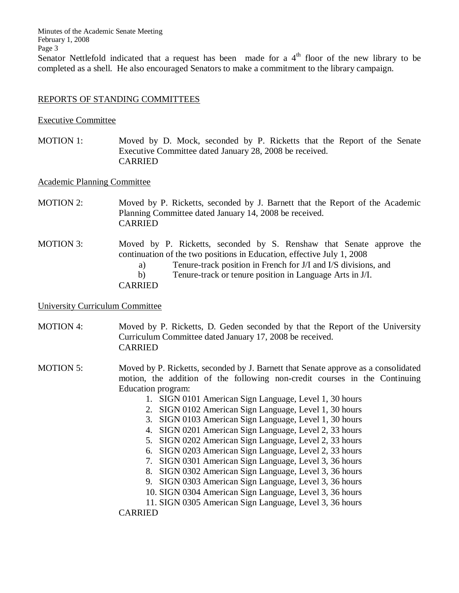Minutes of the Academic Senate Meeting February 1, 2008 Page 3

Senator Nettlefold indicated that a request has been made for a  $4<sup>th</sup>$  floor of the new library to be completed as a shell. He also encouraged Senators to make a commitment to the library campaign.

#### REPORTS OF STANDING COMMITTEES

#### Executive Committee

MOTION 1: Moved by D. Mock, seconded by P. Ricketts that the Report of the Senate Executive Committee dated January 28, 2008 be received. CARRIED

Academic Planning Committee

- MOTION 2: Moved by P. Ricketts, seconded by J. Barnett that the Report of the Academic Planning Committee dated January 14, 2008 be received. CARRIED
- MOTION 3: Moved by P. Ricketts, seconded by S. Renshaw that Senate approve the continuation of the two positions in Education, effective July 1, 2008 a) Tenure-track position in French for J/I and I/S divisions, and b) Tenure-track or tenure position in Language Arts in J/I. CARRIED

#### University Curriculum Committee

MOTION 4: Moved by P. Ricketts, D. Geden seconded by that the Report of the University Curriculum Committee dated January 17, 2008 be received. CARRIED

- MOTION 5: Moved by P. Ricketts, seconded by J. Barnett that Senate approve as a consolidated motion, the addition of the following non-credit courses in the Continuing Education program:
	- 1. SIGN 0101 American Sign Language, Level 1, 30 hours
	- 2. SIGN 0102 American Sign Language, Level 1, 30 hours
	- 3. SIGN 0103 American Sign Language, Level 1, 30 hours
	- 4. SIGN 0201 American Sign Language, Level 2, 33 hours
	- 5. SIGN 0202 American Sign Language, Level 2, 33 hours
	- 6. SIGN 0203 American Sign Language, Level 2, 33 hours
	- 7. SIGN 0301 American Sign Language, Level 3, 36 hours
	- 8. SIGN 0302 American Sign Language, Level 3, 36 hours
	- 9. SIGN 0303 American Sign Language, Level 3, 36 hours
	- 10. SIGN 0304 American Sign Language, Level 3, 36 hours
	- 11. SIGN 0305 American Sign Language, Level 3, 36 hours

CARRIED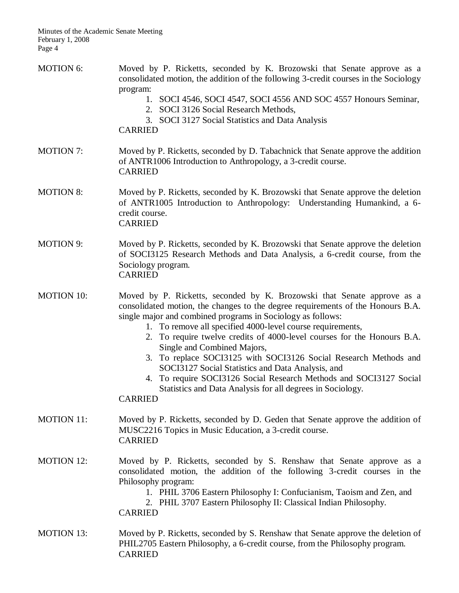- MOTION 6: Moved by P. Ricketts, seconded by K. Brozowski that Senate approve as a consolidated motion, the addition of the following 3-credit courses in the Sociology program:
	- 1. SOCI 4546, SOCI 4547, SOCI 4556 AND SOC 4557 Honours Seminar,
	- 2. SOCI 3126 Social Research Methods,
	- 3. SOCI 3127 Social Statistics and Data Analysis
	- CARRIED
- MOTION 7: Moved by P. Ricketts, seconded by D. Tabachnick that Senate approve the addition of ANTR1006 Introduction to Anthropology, a 3-credit course. CARRIED
- MOTION 8: Moved by P. Ricketts, seconded by K. Brozowski that Senate approve the deletion of ANTR1005 Introduction to Anthropology: Understanding Humankind, a 6 credit course. CARRIED
- MOTION 9: Moved by P. Ricketts, seconded by K. Brozowski that Senate approve the deletion of SOCI3125 Research Methods and Data Analysis, a 6-credit course, from the Sociology program. CARRIED

MOTION 10: Moved by P. Ricketts, seconded by K. Brozowski that Senate approve as a consolidated motion, the changes to the degree requirements of the Honours B.A. single major and combined programs in Sociology as follows:

- 1. To remove all specified 4000-level course requirements,
- 2. To require twelve credits of 4000-level courses for the Honours B.A. Single and Combined Majors,
- 3. To replace SOCI3125 with SOCI3126 Social Research Methods and SOCI3127 Social Statistics and Data Analysis, and
- 4. To require SOCI3126 Social Research Methods and SOCI3127 Social Statistics and Data Analysis for all degrees in Sociology.

CARRIED

- MOTION 11: Moved by P. Ricketts, seconded by D. Geden that Senate approve the addition of MUSC2216 Topics in Music Education, a 3-credit course. CARRIED
- MOTION 12: Moved by P. Ricketts, seconded by S. Renshaw that Senate approve as a consolidated motion, the addition of the following 3-credit courses in the Philosophy program:
	- 1. PHIL 3706 Eastern Philosophy I: Confucianism, Taoism and Zen, and
	- 2. PHIL 3707 Eastern Philosophy II: Classical Indian Philosophy.

CARRIED

MOTION 13: Moved by P. Ricketts, seconded by S. Renshaw that Senate approve the deletion of PHIL2705 Eastern Philosophy, a 6-credit course, from the Philosophy program. CARRIED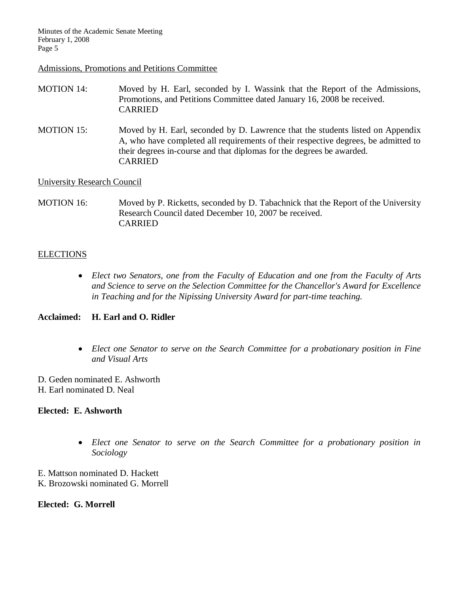#### Admissions, Promotions and Petitions Committee

- MOTION 14: Moved by H. Earl, seconded by I. Wassink that the Report of the Admissions, Promotions, and Petitions Committee dated January 16, 2008 be received. CARRIED
- MOTION 15: Moved by H. Earl, seconded by D. Lawrence that the students listed on Appendix A, who have completed all requirements of their respective degrees, be admitted to their degrees in-course and that diplomas for the degrees be awarded. CARRIED

University Research Council

MOTION 16: Moved by P. Ricketts, seconded by D. Tabachnick that the Report of the University Research Council dated December 10, 2007 be received. CARRIED

#### **ELECTIONS**

 *Elect two Senators, one from the Faculty of Education and one from the Faculty of Arts and Science to serve on the Selection Committee for the Chancellor's Award for Excellence in Teaching and for the Nipissing University Award for part-time teaching.* 

#### **Acclaimed: H. Earl and O. Ridler**

- *Elect one Senator to serve on the Search Committee for a probationary position in Fine and Visual Arts*
- D. Geden nominated E. Ashworth H. Earl nominated D. Neal

#### **Elected: E. Ashworth**

- *Elect one Senator to serve on the Search Committee for a probationary position in Sociology*
- E. Mattson nominated D. Hackett K. Brozowski nominated G. Morrell

**Elected: G. Morrell**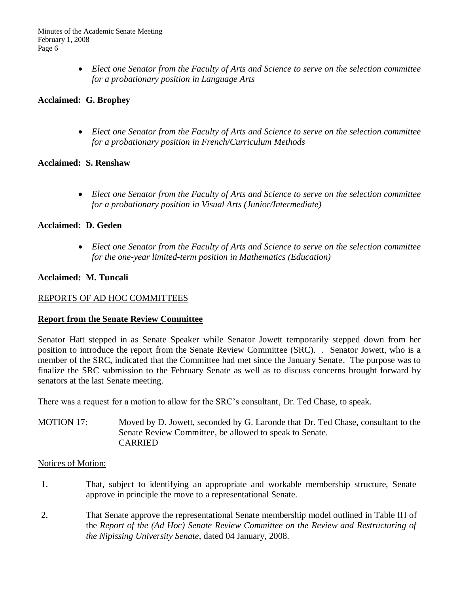*Elect one Senator from the Faculty of Arts and Science to serve on the selection committee for a probationary position in Language Arts*

## **Acclaimed: G. Brophey**

 *Elect one Senator from the Faculty of Arts and Science to serve on the selection committee for a probationary position in French/Curriculum Methods*

## **Acclaimed: S. Renshaw**

 *Elect one Senator from the Faculty of Arts and Science to serve on the selection committee for a probationary position in Visual Arts (Junior/Intermediate)*

#### **Acclaimed: D. Geden**

 *Elect one Senator from the Faculty of Arts and Science to serve on the selection committee for the one-year limited-term position in Mathematics (Education)*

#### **Acclaimed: M. Tuncali**

#### REPORTS OF AD HOC COMMITTEES

#### **Report from the Senate Review Committee**

Senator Hatt stepped in as Senate Speaker while Senator Jowett temporarily stepped down from her position to introduce the report from the Senate Review Committee (SRC). . Senator Jowett, who is a member of the SRC, indicated that the Committee had met since the January Senate. The purpose was to finalize the SRC submission to the February Senate as well as to discuss concerns brought forward by senators at the last Senate meeting.

There was a request for a motion to allow for the SRC's consultant, Dr. Ted Chase, to speak.

MOTION 17: Moved by D. Jowett, seconded by G. Laronde that Dr. Ted Chase, consultant to the Senate Review Committee, be allowed to speak to Senate. CARRIED

#### Notices of Motion:

- 1. That, subject to identifying an appropriate and workable membership structure, Senate approve in principle the move to a representational Senate.
- 2. That Senate approve the representational Senate membership model outlined in Table III of the *Report of the (Ad Hoc) Senate Review Committee on the Review and Restructuring of the Nipissing University Senate*, dated 04 January, 2008.